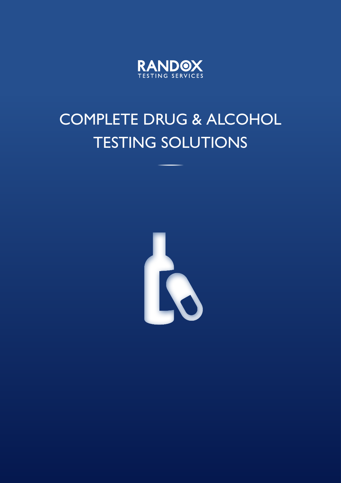

# COMPLETE DRUG & ALCOHOL TESTING SOLUTIONS

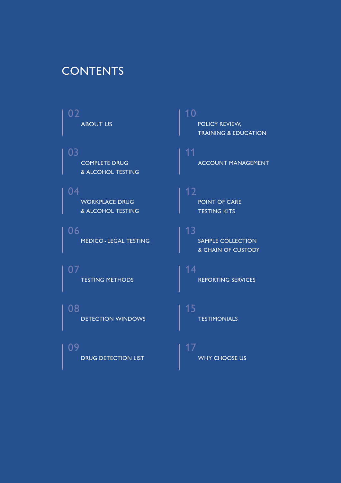### **CONTENTS**

- ABOUT US 02
- COMPLETE DRUG & ALCOHOL TESTING 03

WORKPLACE DRUG & ALCOHOL TESTING 04

MEDICO - LEGAL TESTING 06

TESTING METHODS 07

DETECTION WINDOWS 08

DRUG DETECTION LIST 09

POLICY REVIEW, TRAINING & EDUCATION 10

ACCOUNT MANAGEMENT 11

**POINT OF CARE** TESTING KITS 12

SAMPLE COLLECTION & CHAIN OF CUSTODY 13

REPORTING SERVICES 14

TESTIMONIALS 15

WHY CHOOSE US 17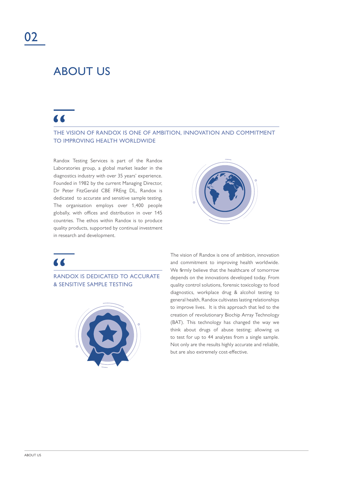### ABOUT US

### $\overline{\mathbf{A}}$

#### THE VISION OF RANDOX IS ONE OF AMBITION, INNOVATION AND COMMITMENT TO IMPROVING HEALTH WORLDWIDE

Randox Testing Services is part of the Randox Laboratories group, a global market leader in the diagnostics industry with over 35 years' experience. Founded in 1982 by the current Managing Director, Dr Peter FitzGerald CBE FREng DL, Randox is dedicated to accurate and sensitive sample testing. The organisation employs over 1,400 people globally, with offices and distribution in over 145 countries. The ethos within Randox is to produce quality products, supported by continual investment in research and development.



### $\overline{\mathbf{A}}$

RANDOX IS DEDICATED TO ACCURATE & SENSITIVE SAMPLE TESTING



The vision of Randox is one of ambition, innovation and commitment to improving health worldwide. We firmly believe that the healthcare of tomorrow depends on the innovations developed today. From quality control solutions, forensic toxicology to food diagnostics, workplace drug & alcohol testing to general health, Randox cultivates lasting relationships to improve lives. It is this approach that led to the creation of revolutionary Biochip Array Technology (BAT). This technology has changed the way we think about drugs of abuse testing; allowing us to test for up to 44 analytes from a single sample. Not only are the results highly accurate and reliable, but are also extremely cost-effective.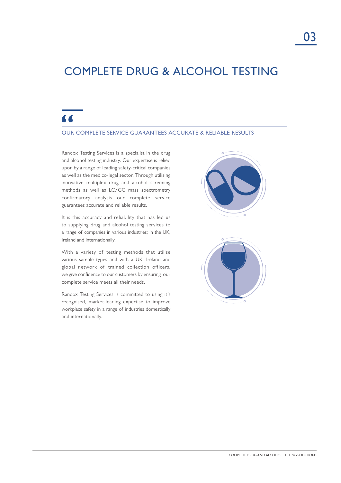### COMPLETE DRUG & ALCOHOL TESTING

### "

#### OUR COMPLETE SERVICE GUARANTEES ACCURATE & RELIABLE RESULTS

Randox Testing Services is a specialist in the drug and alcohol testing industry. Our expertise is relied upon by a range of leading safety-critical companies as well as the medico-legal sector. Through utilising innovative multiplex drug and alcohol screening methods as well as LC/GC mass spectrometry confirmatory analysis our complete service guarantees accurate and reliable results.

It is this accuracy and reliability that has led us to supplying drug and alcohol testing services to a range of companies in various industries; in the UK, Ireland and internationally.

With a variety of testing methods that utilise various sample types and with a UK, Ireland and global network of trained collection officers, we give confidence to our customers by ensuring our complete service meets all their needs.

Randox Testing Services is committed to using it's recognised, market-leading expertise to improve workplace safety in a range of industries domestically and internationally.



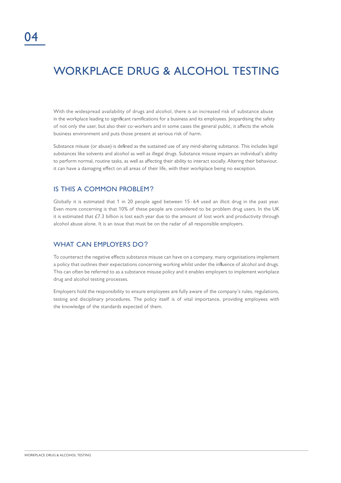### WORKPLACE DRUG & ALCOHOL TESTING

With the widespread availability of drugs and alcohol, there is an increased risk of substance abuse in the workplace leading to significant ramifications for a business and its employees. Jeopardising the safety of not only the user, but also their co-workers and in some cases the general public, it affects the whole business environment and puts those present at serious risk of harm.

Substance misuse (or abuse) is defined as the sustained use of any mind-altering substance. This includes legal substances like solvents and alcohol as well as illegal drugs. Substance misuse impairs an individual's ability to perform normal, routine tasks, as well as affecting their ability to interact socially. Altering their behaviour, it can have a damaging effect on all areas of their life, with their workplace being no exception.

#### IS THIS A COMMON PROBLEM?

Globally it is estimated that 1 in 20 people aged between 15 - 64 used an illicit drug in the past year. Even more concerning is that 10% of these people are considered to be problem drug users. In the UK it is estimated that £7.3 billion is lost each year due to the amount of lost work and productivity through alcohol abuse alone. It is an issue that must be on the radar of all responsible employers.

### WHAT CAN FMPLOYERS DO?

To counteract the negative effects substance misuse can have on a company, many organisations implement a policy that outlines their expectations concerning working whilst under the influence of alcohol and drugs. This can often be referred to as a substance misuse policy and it enables employers to implement workplace drug and alcohol testing processes.

Employers hold the responsibility to ensure employees are fully aware of the company's rules, regulations, testing and disciplinary procedures. The policy itself is of vital importance, providing employees with the knowledge of the standards expected of them.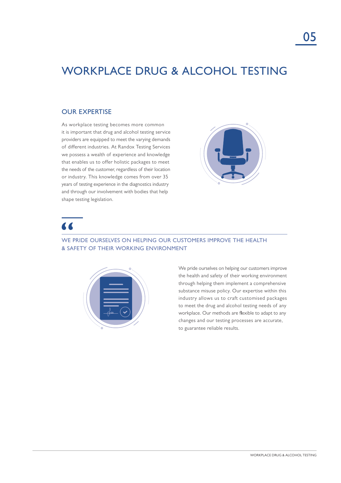### WORKPLACE DRUG & ALCOHOL TESTING

### OUR EXPERTISE

As workplace testing becomes more common it is important that drug and alcohol testing service providers are equipped to meet the varying demands of different industries. At Randox Testing Services we possess a wealth of experience and knowledge that enables us to offer holistic packages to meet the needs of the customer, regardless of their location or industry. This knowledge comes from over 35 years of testing experience in the diagnostics industry and through our involvement with bodies that help shape testing legislation.



### $\blacksquare$

#### WE PRIDE OURSELVES ON HELPING OUR CUSTOMERS IMPROVE THE HEALTH & SAFETY OF THEIR WORKING ENVIRONMENT



We pride ourselves on helping our customers improve the health and safety of their working environment through helping them implement a comprehensive substance misuse policy. Our expertise within this industry allows us to craft customised packages to meet the drug and alcohol testing needs of any workplace. Our methods are flexible to adapt to any changes and our testing processes are accurate, to guarantee reliable results.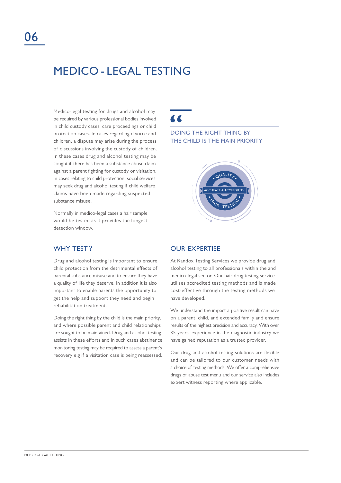### MEDICO - LEGAL TESTING

Medico-legal testing for drugs and alcohol may be required by various professional bodies involved in child custody cases, care proceedings or child protection cases. In cases regarding divorce and children, a dispute may arise during the process of discussions involving the custody of children. In these cases drug and alcohol testing may be sought if there has been a substance abuse claim against a parent fighting for custody or visitation. In cases relating to child protection, social services may seek drug and alcohol testing if child welfare claims have been made regarding suspected substance misuse.

Normally in medico-legal cases a hair sample would be tested as it provides the longest detection window.

Drug and alcohol testing is important to ensure child protection from the detrimental effects of parental substance misuse and to ensure they have a quality of life they deserve. In addition it is also important to enable parents the opportunity to get the help and support they need and begin rehabilitation treatment.

Doing the right thing by the child is the main priority, and where possible parent and child relationships are sought to be maintained. Drug and alcohol testing assists in these efforts and in such cases abstinence monitoring testing may be required to assess a parent's recovery e.g if a visitation case is being reassessed.  $\blacksquare$ 

DOING THE RIGHT THING BY THE CHILD IS THE MAIN PRIORITY



### WHY TEST? OUR EXPERTISE

At Randox Testing Services we provide drug and alcohol testing to all professionals within the and medico-legal sector. Our hair drug testing service utilises accredited testing methods and is made cost-effective through the testing methods we have developed.

We understand the impact a positive result can have on a parent, child, and extended family and ensure results of the highest precision and accuracy. With over 35 years' experience in the diagnostic industry we have gained reputation as a trusted provider.

Our drug and alcohol testing solutions are flexible and can be tailored to our customer needs with a choice of testing methods. We offer a comprehensive drugs of abuse test menu and our service also includes expert witness reporting where applicable.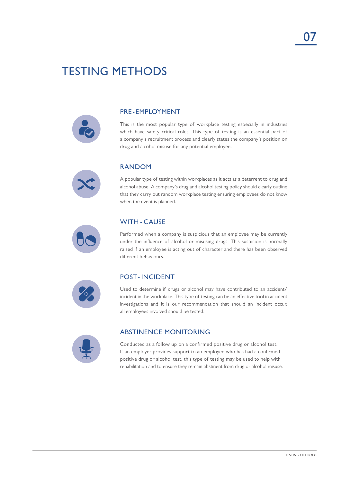### TESTING METHODS



### PRE-EMPLOYMENT

This is the most popular type of workplace testing especially in industries which have safety critical roles. This type of testing is an essential part of a company's recruitment process and clearly states the company's position on drug and alcohol misuse for any potential employee.



#### RANDOM

A popular type of testing within workplaces as it acts as a deterrent to drug and alcohol abuse. A company's drug and alcohol testing policy should clearly outline that they carry out random workplace testing ensuring employees do not know when the event is planned.



### WITH - CAUSE

Performed when a company is suspicious that an employee may be currently under the influence of alcohol or misusing drugs. This suspicion is normally raised if an employee is acting out of character and there has been observed different behaviours.



### POST- INCIDENT

Used to determine if drugs or alcohol may have contributed to an accident/ incident in the workplace. This type of testing can be an effective tool in accident investigations and it is our recommendation that should an incident occur, all employees involved should be tested.



#### ABSTINENCE MONITORING

Conducted as a follow up on a confirmed positive drug or alcohol test. If an employer provides support to an employee who has had a confirmed positive drug or alcohol test, this type of testing may be used to help with rehabilitation and to ensure they remain abstinent from drug or alcohol misuse.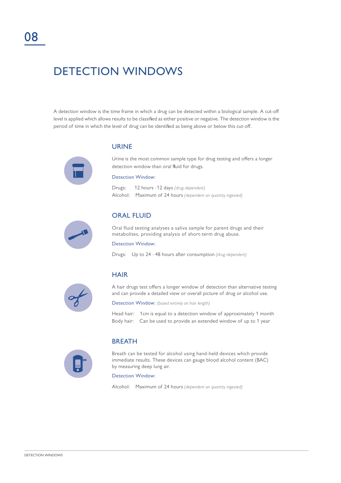### DETECTION WINDOWS

A detection window is the time frame in which a drug can be detected within a biological sample. A cut-off level is applied which allows results to be classified as either positive or negative. The detection window is the period of time in which the level of drug can be identified as being above or below this cut-off.

#### URINE



Urine is the most common sample type for drug testing and offers a longer detection window than oral fluid for drugs.

#### Detection Window:

Drugs: 12 hours -12 days *(drug dependent)* Alcohol: Maximum of 24 hours *(dependent on quantity ingested)*



#### ORAL FLUID

Oral fluid testing analyses a saliva sample for parent drugs and their metabolites, providing analysis of short-term drug abuse.

#### Detection Window:

Drugs: Up to 24 - 48 hours after consumption *(drug dependent)*



### **HAIR**

A hair drugs test offers a longer window of detection than alternative testing and can provide a detailed view or overall picture of drug or alcohol use.

Detection Window: *(based entirely on hair length)*

Head hair: 1cm is equal to a detection window of approximately 1 month Body hair: Can be used to provide an extended window of up to 1 year



#### BREATH

Breath can be tested for alcohol using hand-held devices which provide immediate results. These devices can gauge blood alcohol content (BAC) by measuring deep lung air.

#### Detection Window:

Alcohol: Maximum of 24 hours *(dependent on quantity ingested)*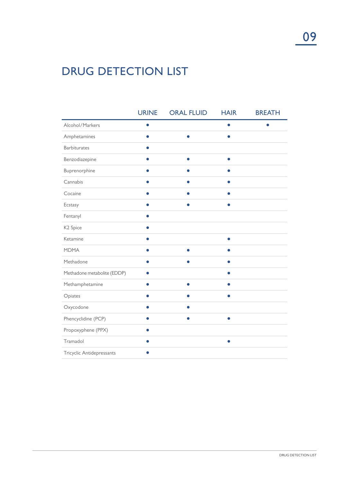## DRUG DETECTION LIST

|                             | <b>URINE</b> | <b>ORAL FLUID</b> | <b>HAIR</b> | <b>BREATH</b> |
|-----------------------------|--------------|-------------------|-------------|---------------|
| Alcohol/Markers             | $\bullet$    |                   | $\bullet$   |               |
| Amphetamines                |              |                   |             |               |
| <b>Barbiturates</b>         |              |                   |             |               |
| Benzodiazepine              |              |                   | $\bullet$   |               |
| Buprenorphine               |              |                   |             |               |
| Cannabis                    |              |                   |             |               |
| Cocaine                     |              |                   | $\bullet$   |               |
| Ecstasy                     |              |                   |             |               |
| Fentanyl                    |              |                   |             |               |
| K <sub>2</sub> Spice        |              |                   |             |               |
| Ketamine                    |              |                   | ●           |               |
| <b>MDMA</b>                 |              |                   |             |               |
| Methadone                   |              |                   |             |               |
| Methadone metabolite (EDDP) |              |                   |             |               |
| Methamphetamine             |              |                   |             |               |
| Opiates                     |              |                   | 0           |               |
| Oxycodone                   |              |                   |             |               |
| Phencyclidine (PCP)         |              |                   |             |               |
| Propoxyphene (PPX)          |              |                   |             |               |
| Tramadol                    |              |                   | $\bullet$   |               |
| Tricyclic Antidepressants   |              |                   |             |               |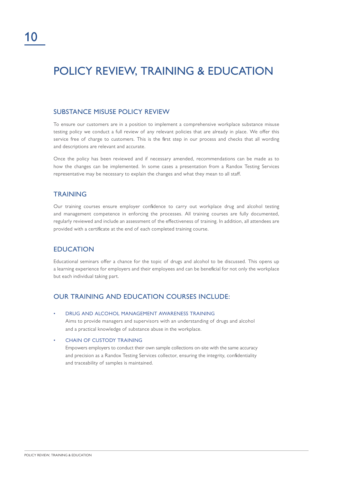### POLICY REVIEW, TRAINING & EDUCATION

### SUBSTANCE MISUSE POLICY REVIEW

To ensure our customers are in a position to implement a comprehensive workplace substance misuse testing policy we conduct a full review of any relevant policies that are already in place. We offer this service free of charge to customers. This is the first step in our process and checks that all wording and descriptions are relevant and accurate.

Once the policy has been reviewed and if necessary amended, recommendations can be made as to how the changes can be implemented. In some cases a presentation from a Randox Testing Services representative may be necessary to explain the changes and what they mean to all staff.

### TRAINING

Our training courses ensure employer confidence to carry out workplace drug and alcohol testing and management competence in enforcing the processes. All training courses are fully documented, regularly reviewed and include an assessment of the effectiveness of training. In addition, all attendees are provided with a certificate at the end of each completed training course.

#### EDUCATION

Educational seminars offer a chance for the topic of drugs and alcohol to be discussed. This opens up a learning experience for employers and their employees and can be beneficial for not only the workplace but each individual taking part.

### OUR TRAINING AND EDUCATION COURSES INCLUDE:

• DRUG AND ALCOHOL MANAGEMENT AWARENESS TRAINING

Aims to provide managers and supervisors with an understanding of drugs and alcohol and a practical knowledge of substance abuse in the workplace.

**CHAIN OF CUSTODY TRAINING** 

Empowers employers to conduct their own sample collections on-site with the same accuracy and precision as a Randox Testing Services collector, ensuring the integrity, confidentiality and traceability of samples is maintained.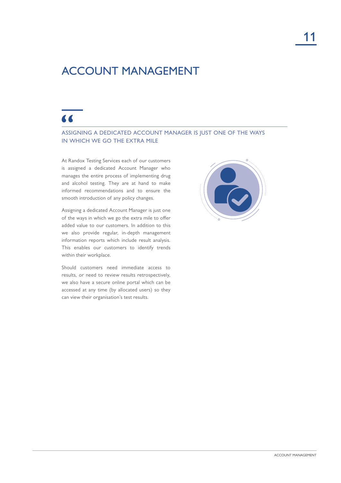### ACCOUNT MANAGEMENT

### $\overline{\mathbf{A}}$

#### ASSIGNING A DEDICATED ACCOUNT MANAGER IS JUST ONE OF THE WAYS IN WHICH WE GO THE EXTRA MILE

At Randox Testing Services each of our customers is assigned a dedicated Account Manager who manages the entire process of implementing drug and alcohol testing. They are at hand to make informed recommendations and to ensure the smooth introduction of any policy changes.

Assigning a dedicated Account Manager is just one of the ways in which we go the extra mile to offer added value to our customers. In addition to this we also provide regular, in-depth management information reports which include result analysis. This enables our customers to identify trends within their workplace.

Should customers need immediate access to results, or need to review results retrospectively, we also have a secure online portal which can be accessed at any time (by allocated users) so they can view their organisation's test results.

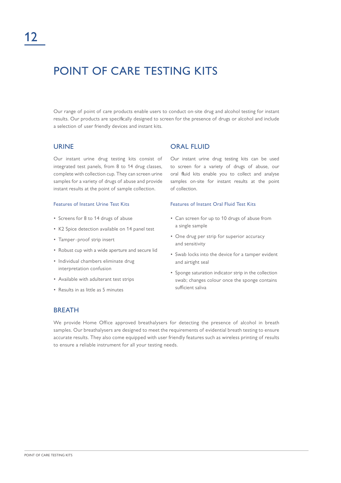### POINT OF CARE TESTING KITS

Our range of point of care products enable users to conduct on-site drug and alcohol testing for instant results. Our products are specifically designed to screen for the presence of drugs or alcohol and include a selection of user friendly devices and instant kits.

#### URINE

Our instant urine drug testing kits consist of integrated test panels, from 8 to 14 drug classes, complete with collection cup. They can screen urine samples for a variety of drugs of abuse and provide instant results at the point of sample collection.

#### Features of Instant Urine Test Kits

- Screens for 8 to 14 drugs of abuse
- K2 Spice detection available on 14 panel test
- Tamper-proof strip insert
- Robust cup with a wide aperture and secure lid
- Individual chambers eliminate drug interpretation confusion
- Available with adulterant test strips
- Results in as little as 5 minutes

#### ORAL FLUID

Our instant urine drug testing kits can be used to screen for a variety of drugs of abuse, our oral fluid kits enable you to collect and analyse samples on-site for instant results at the point of collection.

#### Features of Instant Oral Fluid Test Kits

- Can screen for up to 10 drugs of abuse from a single sample
- One drug per strip for superior accuracy and sensitivity
- Swab locks into the device for a tamper evident and airtight seal
- Sponge saturation indicator strip in the collection swab; changes colour once the sponge contains sufficient saliva

#### BREATH

We provide Home Office approved breathalysers for detecting the presence of alcohol in breath samples. Our breathalysers are designed to meet the requirements of evidential breath testing to ensure accurate results. They also come equipped with user friendly features such as wireless printing of results to ensure a reliable instrument for all your testing needs.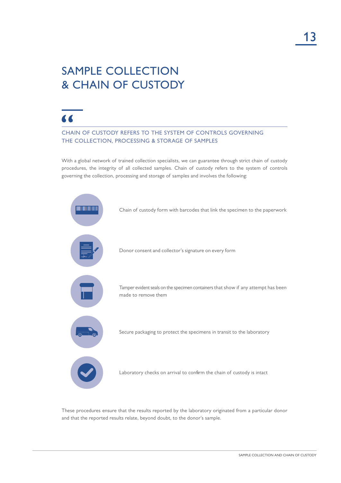### SAMPLE COLLECTION & CHAIN OF CUSTODY

### $\overline{\mathbf{A}}$

CHAIN OF CUSTODY REFERS TO THE SYSTEM OF CONTROLS GOVERNING THE COLLECTION, PROCESSING & STORAGE OF SAMPLES

With a global network of trained collection specialists, we can guarantee through strict chain of custody procedures, the integrity of all collected samples. Chain of custody refers to the system of controls governing the collection, processing and storage of samples and involves the following:



These procedures ensure that the results reported by the laboratory originated from a particular donor and that the reported results relate, beyond doubt, to the donor's sample.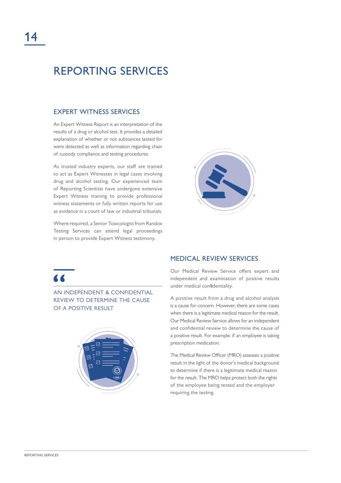### REPORTING SERVICES

### EXPERT WITNESS SERVICES

An Expert Witness Report is an interpretation of the results of a drug or alcohol test. It provides a detailed explanation of whether or not substances tested for were detected as well as information regarding chain of custody compliance and testing procedures.

As trusted industry experts, our staff are trained to act as Expert Witnesses in legal cases involving drug and alcohol testing. Our experienced team of Reporting Scientists have undergone extensive Expert Witness training to provide professional witness statements or fully written reports for use as evidence in a court of law or industrial tribunals.

Where required, a Senior Toxicologist from Randox Testing Services can attend legal proceedings in person to provide Expert Witness testimony.



### $\overline{\phantom{a}}$

AN INDEPENDENT & CONFIDENTIAL REVIEW TO DETERMINE THE CAUSE OF A POSITIVE RESULT



#### MEDICAL REVIEW SERVICES

Our Medical Review Service offers expert and independent and examination of positive results under medical confidentiality.

A positive result from a drug and alcohol analysis is a cause for concern. However, there are some cases when there is a legitimate medical reason for the result. Our Medical Review Service allows for an independent and confidential review to determine the cause of a positive result. For example: if an employee is taking prescription medication.

The Medical Review Officer (MRO) assesses a positive result in the light of the donor's medical background to determine if there is a legitimate medical reason for the result. The MRO helps protect both the rights of the employee being tested and the employer requiring the testing.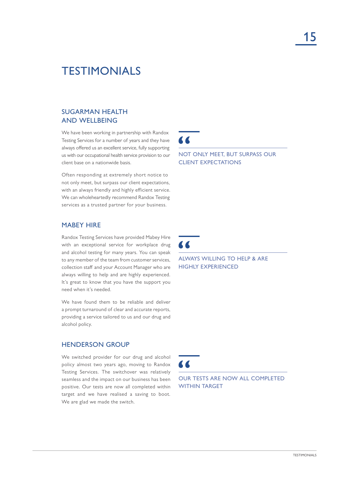### TESTIMONIALS

### SUGARMAN HEALTH AND WELLBEING

We have been working in partnership with Randox Testing Services for a number of years and they have always offered us an excellent service, fully supporting us with our occupational health service provision to our client base on a nationwide basis.

Often responding at extremely short notice to not only meet, but surpass our client expectations, with an always friendly and highly efficient service. We can wholeheartedly recommend Randox Testing services as a trusted partner for your business.

### MABEY HIRE

Randox Testing Services have provided Mabey Hire with an exceptional service for workplace drug and alcohol testing for many years. You can speak to any member of the team from customer services, collection staff and your Account Manager who are always willing to help and are highly experienced. It's great to know that you have the support you need when it's needed.

We have found them to be reliable and deliver a prompt turnaround of clear and accurate reports, providing a service tailored to us and our drug and alcohol policy.

#### HENDERSON GROUP

We switched provider for our drug and alcohol policy almost two years ago, moving to Randox Testing Services. The switchover was relatively seamless and the impact on our business has been positive. Our tests are now all completed within target and we have realised a saving to boot. We are glad we made the switch.

 $\blacktriangle$ 

NOT ONLY MEET, BUT SURPASS OUR CLIENT EXPECTATIONS

 $\blacksquare$ 

 $\overline{\mathbf{A}}$ 

ALWAYS WILLING TO HELP & ARE HIGHLY EXPERIENCED

OUR TESTS ARE NOW ALL COMPLETED WITHIN TARGET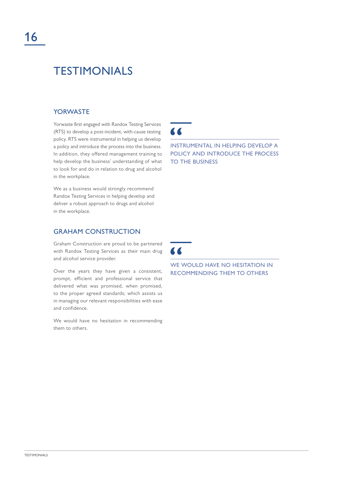### TESTIMONIALS

### **YORWASTE**

Yorwaste first engaged with Randox Testing Services (RTS) to develop a post-incident, with-cause testing policy. RTS were instrumental in helping us develop a policy and introduce the process into the business. In addition, they offered management training to help develop the business' understanding of what to look for and do in relation to drug and alcohol in the workplace.

We as a business would strongly recommend Randox Testing Services in helping develop and deliver a robust approach to drugs and alcohol in the workplace.

### GRAHAM CONSTRUCTION

Graham Construction are proud to be partnered with Randox Testing Services as their main drug and alcohol service provider.

Over the years they have given a consistent, prompt, efficient and professional service that delivered what was promised, when promised, to the proper agreed standards; which assists us in managing our relevant responsibilities with ease and confidence.

We would have no hesitation in recommending them to others.

 $\overline{\mathbf{A}}$ 

INSTRUMENTAL IN HELPING DEVELOP A POLICY AND INTRODUCE THE PROCESS TO THE BUSINESS



WE WOULD HAVE NO HESITATION IN RECOMMENDING THEM TO OTHERS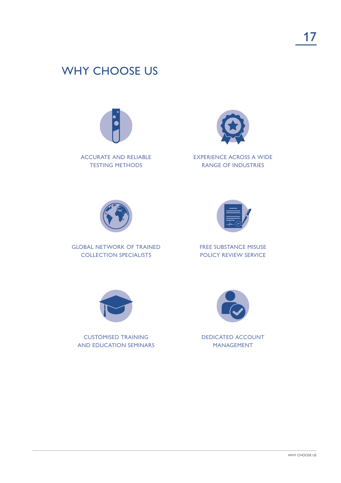### WHY CHOOSE US



ACCURATE AND RELIABLE TESTING METHODS



EXPERIENCE ACROSS A WIDE RANGE OF INDUSTRIES



GLOBAL NETWORK OF TRAINED COLLECTION SPECIALISTS



FREE SUBSTANCE MISUSE POLICY REVIEW SERVICE



CUSTOMISED TRAINING AND EDUCATION SEMINARS



DEDICATED ACCOUNT MANAGEMENT